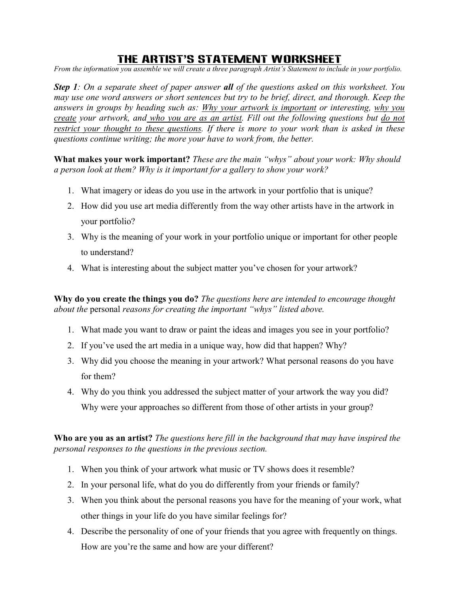## The Artist's Statement worksheet

From the information you assemble we will create a three paragraph Artist's Statement to include in your portfolio.

**Step 1**: On a separate sheet of paper answer all of the questions asked on this worksheet. You may use one word answers or short sentences but try to be brief, direct, and thorough. Keep the answers in groups by heading such as: Why your artwork is important or interesting, why you create your artwork, and who you are as an artist. Fill out the following questions but do not restrict your thought to these questions. If there is more to your work than is asked in these questions continue writing; the more your have to work from, the better.

What makes your work important? These are the main "whys" about your work: Why should a person look at them? Why is it important for a gallery to show your work?

- 1. What imagery or ideas do you use in the artwork in your portfolio that is unique?
- 2. How did you use art media differently from the way other artists have in the artwork in your portfolio?
- 3. Why is the meaning of your work in your portfolio unique or important for other people to understand?
- 4. What is interesting about the subject matter you've chosen for your artwork?

Why do you create the things you do? The questions here are intended to encourage thought about the personal reasons for creating the important "whys" listed above.

- 1. What made you want to draw or paint the ideas and images you see in your portfolio?
- 2. If you've used the art media in a unique way, how did that happen? Why?
- 3. Why did you choose the meaning in your artwork? What personal reasons do you have for them?
- 4. Why do you think you addressed the subject matter of your artwork the way you did? Why were your approaches so different from those of other artists in your group?

Who are you as an artist? The questions here fill in the background that may have inspired the personal responses to the questions in the previous section.

- 1. When you think of your artwork what music or TV shows does it resemble?
- 2. In your personal life, what do you do differently from your friends or family?
- 3. When you think about the personal reasons you have for the meaning of your work, what other things in your life do you have similar feelings for?
- 4. Describe the personality of one of your friends that you agree with frequently on things. How are you're the same and how are your different?